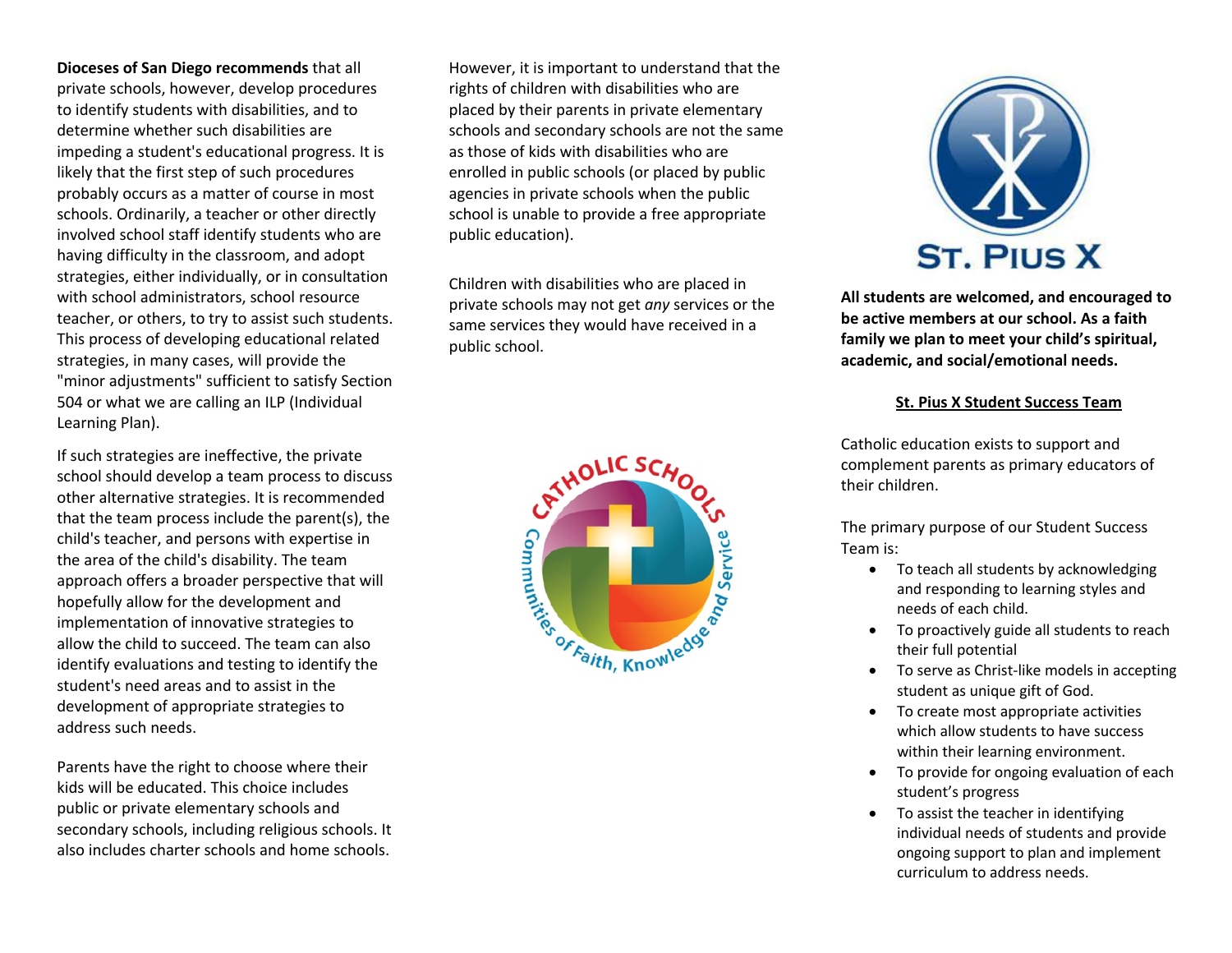**Dioceses of San Diego recommends** that all private schools, however, develop procedures to identify students with disabilities, and to determine whether such disabilities are impeding a student's educational progress. It is likely that the first step of such procedures probably occurs as a matter of course in most schools. Ordinarily, a teacher or other directly involved school staff identify students who are having difficulty in the classroom, and adopt strategies, either individually, or in consultation with school administrators, school resource teacher, or others, to try to assist such students. This process of developing educational related strategies, in many cases, will provide the "minor adjustments" sufficient to satisfy Section 504 or what we are calling an ILP (Individual Learning Plan).

If such strategies are ineffective, the private school should develop a team process to discuss other alternative strategies. It is recommended that the team process include the parent(s), the child's teacher, and persons with expertise in the area of the child's disability. The team approach offers a broader perspective that will hopefully allow for the development and implementation of innovative strategies to allow the child to succeed. The team can also identify evaluations and testing to identify the student's need areas and to assist in the development of appropriate strategies to address such needs.

Parents have the right to choose where their kids will be educated. This choice includes public or private elementary schools and secondary schools, including religious schools. It also includes charter schools and home schools.

However, it is important to understand that the rights of children with disabilities who are placed by their parents in private elementary schools and secondary schools are not the same as those of kids with disabilities who are enrolled in public schools (or placed by public agencies in private schools when the public school is unable to provide a free appropriate public education).

Children with disabilities who are placed in private schools may not get *any* services or the same services they would have received in a public school.





**All students are welcomed, and encouraged to be active members at our school. As a faith family we plan to meet your child's spiritual, academic, and social/emotional needs.** 

## **St. Pius X Student Success Team**

Catholic education exists to support and complement parents as primary educators of their children.

The primary purpose of our Student Success Team is:

- To teach all students by acknowledging and responding to learning styles and needs of each child.
- To proactively guide all students to reach their full potential
- To serve as Christ-like models in accepting student as unique gift of God.
- To create most appropriate activities which allow students to have success within their learning environment.
- To provide for ongoing evaluation of each student's progress
- To assist the teacher in identifying individual needs of students and provide ongoing support to plan and implement curriculum to address needs.